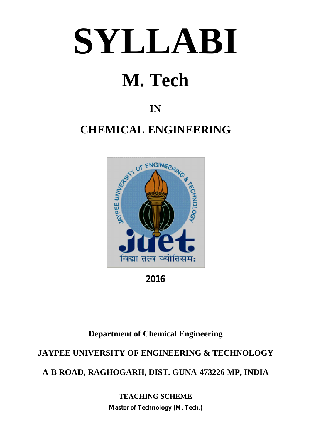# **SYLLABI**

## **M. Tech**

## **IN**

## **CHEMICAL ENGINEERING**



**2016**

## **Department of Chemical Engineering**

## **JAYPEE UNIVERSITY OF ENGINEERING & TECHNOLOGY**

**A-B ROAD, RAGHOGARH, DIST. GUNA-473226 MP, INDIA**

**TEACHING SCHEME Master of Technology (M. Tech.)**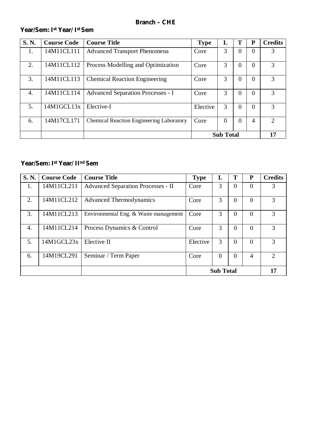#### **Year/Sem: Ist Year/ I st Sem**

| S. N.            | <b>Course Code</b> | <b>Course Title</b>                             | <b>Type</b> | L                | T              | P              | <b>Credits</b>              |
|------------------|--------------------|-------------------------------------------------|-------------|------------------|----------------|----------------|-----------------------------|
| 1.               | 14M11CL111         | <b>Advanced Transport Phenomena</b>             | Core        | 3                | $\overline{0}$ | $\overline{0}$ |                             |
| 2.               | 14M11CL112         | Process Modelling and Optimization              | Core        | 3                | $\Omega$       | $\overline{0}$ | 3                           |
| 3.               | 14M11CL113         | <b>Chemical Reaction Engineering</b>            | Core        | 3                | $\overline{0}$ | $\overline{0}$ | 3                           |
| $\overline{4}$ . | 14M11CL114         | <b>Advanced Separation Processes - I</b>        | Core        | 3                | $\theta$       | $\overline{0}$ | 3                           |
| 5.               | 14M1GCL13x         | Elective-I                                      | Elective    | 3                | $\Omega$       | $\overline{0}$ | 3                           |
| 6.               | 14M17CL171         | <b>Chemical Reaction Engineering Laboratory</b> | Core        | $\overline{0}$   | $\theta$       | 4              | $\mathcal{D}_{\mathcal{L}}$ |
|                  |                    |                                                 |             | <b>Sub Total</b> |                |                | 17                          |

#### **Year/Sem: Ist Year/ II nd Sem**

| S.N.             | <b>Course Code</b> | <b>Course Title</b>                       | <b>Type</b> | L                | Т              | ${\bf P}$      | <b>Credits</b> |
|------------------|--------------------|-------------------------------------------|-------------|------------------|----------------|----------------|----------------|
| 1.               | 14M11CL211         | <b>Advanced Separation Processes - II</b> | Core        | 3                | $\overline{0}$ | $\overline{0}$ | 3              |
| 2.               | 14M11CL212         | <b>Advanced Thermodynamics</b>            | Core        | 3                | $\overline{0}$ | $\Omega$       | 3              |
| 3.               | 14M11CL213         | Environmental Eng. & Waste management     | Core        | 3                | $\theta$       | $\theta$       | 3              |
| $\overline{4}$ . | 14M11CL214         | Process Dynamics & Control                | Core        | 3                | $\overline{0}$ | $\overline{0}$ | 3              |
| 5.               | 14M1GCL23x         | Elective II                               | Elective    | 3                | $\overline{0}$ | $\Omega$       | 3              |
| 6.               | 14M19CL291         | Seminar / Term Paper                      | Core        | $\Omega$         | $\overline{0}$ | 4              |                |
|                  |                    |                                           |             | <b>Sub Total</b> |                |                | 17             |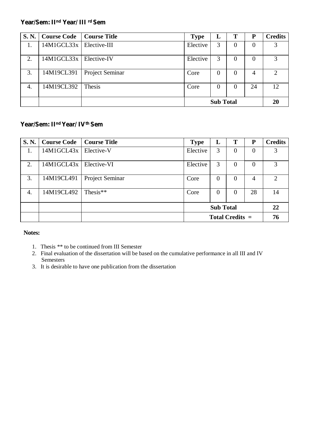#### **Year/Sem: II nd Year/ III rd Sem**

| <b>S. N.</b> | <b>Course Code</b>        | Course Title    | <b>Type</b> | L                | Т              | P  | <b>Credits</b>              |
|--------------|---------------------------|-----------------|-------------|------------------|----------------|----|-----------------------------|
| 1.           | 14M1GCL33x   Elective-III |                 | Elective    | 3                | 0              |    | 3                           |
| 2.           | 14M1GCL33x   Elective-IV  |                 | Elective    | 3                | 0              |    | 3                           |
| 3.           | 14M19CL391                | Project Seminar | Core        | $\Omega$         | $\overline{0}$ | 4  | $\mathcal{D}_{\mathcal{L}}$ |
| 4.           | 14M19CL392                | Thesis          | Core        | $\Omega$         | 0              | 24 | 12                          |
|              |                           |                 |             | <b>Sub Total</b> |                |    | 20                          |

#### **Year/Sem: II nd Year/ IVth Sem**

| <b>S. N.</b> | <b>Course Code</b> | <b>Course Title</b> | <b>Type</b> | L                | T                 | P        | <b>Credits</b>              |
|--------------|--------------------|---------------------|-------------|------------------|-------------------|----------|-----------------------------|
| 1.           | 14M1GCL43x         | Elective-V          | Elective    | 3                | $\overline{0}$    | $\theta$ |                             |
| 2.           | 14M1GCL43x         | Elective-VI         | Elective    | 3                | $\overline{0}$    | $\Omega$ | 3                           |
| 3.           | 14M19CL491         | Project Seminar     | Core        | $\Omega$         | $\overline{0}$    | 4        | $\mathcal{D}_{\mathcal{L}}$ |
| 4.           | 14M19CL492         | Thesis $**$         | Core        | $\Omega$         | $\theta$          | 28       | 14                          |
|              |                    |                     |             | <b>Sub Total</b> |                   |          | 22                          |
|              |                    |                     |             |                  | Total Credits $=$ |          | 76                          |

#### **Notes:**

- 1. Thesis \*\* to be continued from III Semester
- 2. Final evaluation of the dissertation will be based on the cumulative performance in all III and IV Semesters
- 3. It is desirable to have one publication from the dissertation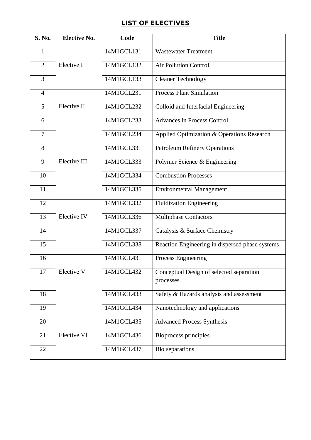#### **LIST OF ELECTIVES**

| <b>S. No.</b>  | <b>Elective No.</b> | Code       | <b>Title</b>                                           |
|----------------|---------------------|------------|--------------------------------------------------------|
| $\mathbf{1}$   |                     | 14M1GCL131 | <b>Wastewater Treatment</b>                            |
| $\overline{2}$ | Elective I          | 14M1GCL132 | <b>Air Pollution Control</b>                           |
| 3              |                     | 14M1GCL133 | <b>Cleaner Technology</b>                              |
| $\overline{4}$ |                     | 14M1GCL231 | <b>Process Plant Simulation</b>                        |
| 5              | Elective II         | 14M1GCL232 | Colloid and Interfacial Engineering                    |
| 6              |                     | 14M1GCL233 | <b>Advances in Process Control</b>                     |
| $\overline{7}$ |                     | 14M1GCL234 | Applied Optimization & Operations Research             |
| 8              |                     | 14M1GCL331 | <b>Petroleum Refinery Operations</b>                   |
| 9              | Elective III        | 14M1GCL333 | Polymer Science & Engineering                          |
| 10             |                     | 14M1GCL334 | <b>Combustion Processes</b>                            |
| 11             |                     | 14M1GCL335 | <b>Environmental Management</b>                        |
| 12             |                     | 14M1GCL332 | <b>Fluidization Engineering</b>                        |
| 13             | Elective IV         | 14M1GCL336 | <b>Multiphase Contactors</b>                           |
| 14             |                     | 14M1GCL337 | Catalysis & Surface Chemistry                          |
| 15             |                     | 14M1GCL338 | Reaction Engineering in dispersed phase systems        |
| 16             |                     | 14M1GCL431 | Process Engineering                                    |
| 17             | Elective V          | 14M1GCL432 | Conceptual Design of selected separation<br>processes. |
| 18             |                     | 14M1GCL433 | Safety & Hazards analysis and assessment               |
| 19             |                     | 14M1GCL434 | Nanotechnology and applications                        |
| 20             |                     | 14M1GCL435 | <b>Advanced Process Synthesis</b>                      |
| 21             | Elective VI         | 14M1GCL436 | <b>Bioprocess principles</b>                           |
| 22             |                     | 14M1GCL437 | Bio separations                                        |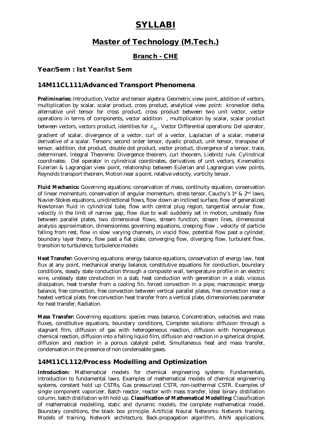## **SYLLABI**

#### **Master of Technology (M.Tech.)**

#### **Branch - CHE**

#### **Year/Sem : Ist Year/Ist Sem**

#### **14M11CL111/Advanced Transport Phenomena**

**Preliminaries:** Introduction, Vector and tensor algebra: Geometric view point, addition of vectors, multiplication by scalar, scalar product, cross product, analytical view point: kronecker delta, alternative unit tensor for cross product, cross product between two unit vector, vector operations in terms of components, vector addition , multiplication by scalar, scalar product between vectors, vectors product, identities for  $\varepsilon_{ik}$ . Vector Differential operations: Del operator,

gradient of scalar, divergence of a vector, curl of a vector, Laplacian of a scalar, material derivative of a scalar. Tensors: second order tensor, dyadic product, unit tensor, transpose of tensor, addition, dot product, double dot product, vector product, divergence of a tensor, trace, determinant. Integral Theorems: Divergence theorem, curl theorem, Liebnitz rule. Cylindrical coordinates: Del operator in cylindrical coordinates, derivatives of unit vectors, Kinematics: Eulerian & Lagrangian view point, relationship between Eulerian and Lagrangian view points, Reynolds transport theorem, Motion near a point, relative velocity, vorticity tensor,

**Fluid Mechanics:** Governing equations: conservation of mass, continuity equation, conservation of linear momentum, conservation of angular momentum, stress tensor, Cauchy's 1st & 2nd laws, Navier-Stokes equations, unidirectional flows, flow down an inclined surface, flow of generalized Newtonian fluid in cylindrical tube, flow with central plug region, tangential annular flow, velocity in the limit of narrow gap, flow due to wall suddenly set in motion, unsteady flow between parallel plates, two dimensional flows, stream function, stream lines, dimensional analysis approximation, dimensionless governing equations, creeping flow , velocity of particle falling from rest, flow in slow varying channels, in viscid flow, potential flow past a cylinder, boundary layer theory, flow past a flat plate, converging flow, diverging flow, turbulent flow, transition to turbulence, turbulence models

**Heat Transfer:** Governing equations: energy balance equations, conservation of energy law, heat flux at any point, mechanical energy balance, constitutive equations for conduction, boundary conditions, steady state conduction through a composite wall, temperature profile in an electric wire, unsteady state conduction in a slab, heat conduction with generation in a slab, viscous dissipation, heat transfer from a cooling fin, forced convection in a pipe, macroscopic energy balance, free convection, free convection between vertical parallel plates, free convection near a heated vertical plate, free convection heat transfer from a vertical plate, dimensionless parameter for heat transfer, Radiation.

**Mass Transfer:** Governing equations: species mass balance, Concentration, velocities and mass fluxes, constitutive equations, boundary conditions, Complete solutions: diffusion through a stagnant film, diffusion of gas with heterogeneous reaction, diffusion with homogeneous chemical reaction, diffusion into a falling liquid film, diffusion and reaction in a spherical droplet, diffusion and reaction in a porous catalyst pellet, Simultaneous heat and mass transfer, condensation in the presence of non condensable gases.

#### **14M11CL112/Process Modelling and Optimization**

**Introduction:** Mathematical models for chemical engineering systems: Fundamentals, introduction to fundamental laws. Examples of mathematical models of chemical engineering systems, constant hold up CSTRs, Gas pressurized CSTR, non-isothermal CSTR. Examples of single component vaporizer, Batch reactor, reactor with mass transfer, ideal binary distillation column, batch distillation with hold up. **Classification of Mathematical Modelling:** Classification of mathematical modelling, static and dynamic models, the complete mathematical model, Boundary conditions, the black box principle. Artificial Neural Networks: Network training, Models of training, Network architecture, Back-propagation algorithm, ANN applications.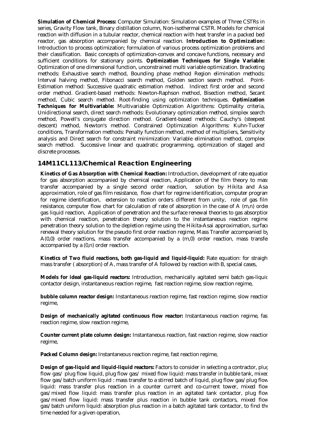**Simulation of Chemical Process:** Computer Simulation: Simulation examples of Three CSTRs in series, Gravity Flow tank, Binary distillation column, Non-isothermal CSTR. Models for chemical reaction with diffusion in a tubular reactor, chemical reaction with heat transfer in a packed bed reactor, gas absorption accompanied by chemical reaction. **Introduction to Optimization:** Introduction to process optimization; formulation of various process optimization problems and their classification. Basic concepts of optimization-convex and concave functions, necessary and sufficient conditions for stationary points. **Optimization Techniques for Single Variable:** Optimization of one dimensional function, unconstrained multi variable optimization. Bracketing methods: Exhaustive search method, Bounding phase method Region elimination methods: Interval halving method, Fibonacci search method, Golden section search method. Point-Estimation method: Successive quadratic estimation method. Indirect first order and second order method. Gradient-based methods: Newton-Raphson method, Bisection method, Secant method, Cubic search method. Root-finding using optimization techniques. **Optimization Techniques for Multivariable:** Multivariable Optimization Algorithms: Optimality criteria, Unidirectional search, direct search methods: Evolutionary optimization method, simplex search method, Powell's conjugate direction method. Gradient-based methods: Cauchy's (steepest descent) method, Newton's method. Constrained Optimization Algorithms: Kuhn-Tucker conditions, Transformation methods: Penalty function method, method of multipliers, Sensitivity analysis and Direct search for constraint minimization: Variable elimination method, complex search method. Successive linear and quadratic programming, optimization of staged and discrete processes.

#### **14M11CL113/Chemical Reaction Engineering**

**Kinetics of Gas Absorption with Chemical Reaction:** Introduction, development of rate equation for gas absorption accompanied by chemical reaction, Application of the film theory to mass transfer accompanied by a single second order reaction, solution by Hikita and Asai approximation, role of gas film resistance, flow chart for regime identification, computer program for regime identification, extension to reaction orders different from unity, role of gas film resistance, computer flow chart for calculation of rate of absorption in the case of A (m,n) order gas liquid reaction, Application of penetration and the surface renewal theories to gas absorption with chemical reaction, penetration theory solution to the instantaneous reaction regime penetration theory solution to the depletion regime using the Hikita-Asai approximation, surface renewal theory solution for the pseudo first order reaction regime, Mass Transfer accompanied by A(0,0) order reactions, mass transfer accompanied by a (m,0) order reaction, mass transfer accompanied by a (0,n) order reaction.

**Kinetics of Two fluid reactions, both gas-liquid and liquid-liquid:** Rate equation: for straight mass transfer ( absorption) of A, mass transfer of A followed by reaction with B, special cases,

**Models for ideal gas-liquid reactors:** Introduction, mechanically agitated semi batch gas-liquic contactor design, instantaneous reaction regime, fast reaction regime, slow reaction regime,

**bubble column reactor design:** Instantaneous reaction regime, fast reaction regime, slow reaction regime,

**Design of mechanically agitated continuous flow reactor:** Instantaneous reaction regime, fas reaction regime, slow reaction regime,

**Counter current plate column design:** Instantaneous reaction, fast reaction regime, slow reaction regime,

**Packed Column design:** Instantaneous reaction regime, fast reaction regime,

**Design of gas-liquid and liquid-liquid reactors:** Factors to consider in selecting a contractor, plug flow gas/ plug flow liquid, plug flow gas/ mixed flow liquid: mass transfer in bubble tank, mixed flow gas/batch uniform liquid : mass transfer to a stirred batch of liquid, plug flow gas/plug flow liquid: mass transfer plus reaction in a counter current and co-current tower, mixed flow gas/mixed flow liquid: mass transfer plus reaction in an agitated tank contactor, plug flow gas/mixed flow liquid: mass transfer plus reaction in bubble tank contactors, mixed flow gas/batch uniform liquid: absorption plus reaction in a batch agitated tank contactor, to find the time needed for a given operation,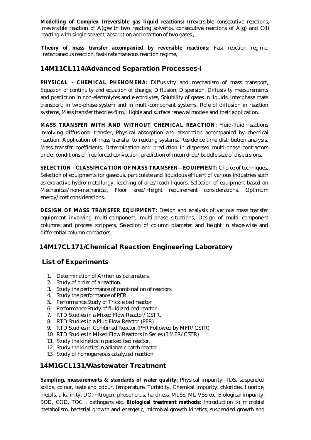**Modelling of Complex Irreversible gas liquid reactions:** Irreversible consecutive reactions, irreversible reaction of  $A(q)$  with two reacting solvents, consecutive reactions of  $A(q)$  and  $C(1)$ reacting with single solvent, absorption and reaction of two gases ,

**Theory of mass transfer accompanied by reversible reactions:** Fast reaction regime, instantaneous reaction, fast-instantaneous reaction regime,

#### **14M11CL114/Advanced Separation Processes-I**

**PHYSICAL - CHEMICAL PHENOMENA:** Diffusivity and mechanism of mass transport, Equation of continuity and equation of change, Diffusion, Dispersion, Diffusivity measurements and prediction in non-electrolytes and electrolytes, Solubility of gases in liquids. Interphase mass transport, in two-phase system and in multi-component systems, Role of diffusion in reaction systems, Mass transfer theories-film, Higbie and surface renewal models and their application.

**MASS TRANSFER WITH AND WITHOUT CHEMICAL REACTION:** Fluid-fluid reactions involving diffusional transfer, Physical absorption and absorption accompanied by chemical reaction, Application of mass transfer to reacting systems. Residence time distribution analysis, Mass transfer coefficients, Determination and prediction in dispersed multi-phase contractors under conditions of free forced convection, prediction of mean drop/buddle size of dispersions.

**SELECTION - CLASSIFICATION OF MASS TRANSFER – EQUIPMENT:** Choice of techniques, Selection of equipments for gaseous, particulate and liquidous effluent of various industries such as extractive hydro metallurgy, leaching of ores/leach liquors, Selection of equipment based on Mechanical/non-mechanical, Floor area/Height requirement considerations. Optimum energy/cost considerations.

**DESIGN OF MASS TRANSFER EQUIPMENT:** Design and analysis of various mass transfer equipment involving multi-component, multi-phase situations, Design of multi component columns and process strippers, Selection of column diameter and height in stage-wise and differential column contactors.

#### **14M17CL171/Chemical Reaction Engineering Laboratory**

#### **List of Experiments**

- 1. Determination of Arrhenius parameters.
- 2. Study of order of a reaction.
- 3. Study the performance of combination of reactors.
- 4. Study the performance of PFR
- 5. Performance Study of Trickle bed reactor
- 6. Performance Study of fluidized bed reactor
- 7. RTD Studies in a Mixed Flow Reactor/CSTR.
- 8. RTD Studies in a Plug Flow Reactor (PFR)
- 9. RTD Studies in Combined Reactor (PFR Followed by MFR/CSTR)
- 10. RTD Studies in Mixed Flow Reactors in Series (3 MFR/CSTR)
- 11. Study the kinetics in packed bed reactor.
- 12. Study the kinetics in adiabatic batch reactor
- 13. Study of homogeneous catalyzed reaction

#### **14M1GCL131/Wastewater Treatment**

**Sampling, measurements & standards of water quality:** Physical impurity: TDS, suspended solids, colour, taste and odour, temperature, Turbidity. Chemical impurity: chlorides, fluoride, metals, alkalinity, DO, nitrogen, phosphorus, hardness, MLSS, ML VSS etc. Biological impurity: BOD, COD, TOC , pathogens etc. **Biological treatment methods:** Introduction to microbial metabolism, bacterial growth and energetic, microbial growth kinetics, suspended growth and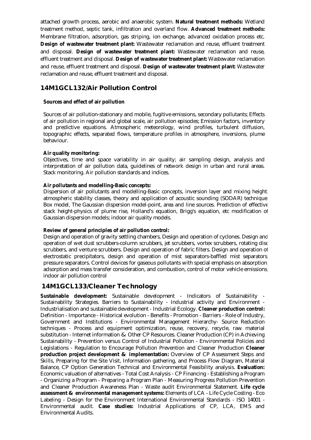attached growth process, aerobic and anaerobic system. **Natural treatment methods:** Wetland treatment method, septic tank, infiltration and overland flow. **Advanced treatment methods:**  Membrane filtration, adsorption, gas striping, ion exchange, advanced oxidation process etc. **Design of wastewater treatment plant:** Wastewater reclamation and reuse, effluent treatment and disposal. **Design of wastewater treatment plant:** Wastewater reclamation and reuse, effluent treatment and disposal. **Design of wastewater treatment plant:** Wastewater reclamation and reuse, effluent treatment and disposal. **Design of wastewater treatment plant:** Wastewater reclamation and reuse, effluent treatment and disposal.

#### **14M1GCL132/Air Pollution Control**

#### **Sources and effect of air pollution**

Sources of air pollution-stationary and mobile, fugitive emissions, secondary pollutants; Effects of air pollution in regional and global scale, air pollution episodes; Emission factors, inventory and predictive equations. Atmospheric meteorology, wind profiles, turbulent diffusion, topographic effects, separated flows, temperature profiles in atmosphere, inversions, plume behaviour.

#### **Air quality monitoring:**

Objectives, time and space variability in air quality; air sampling design, analysis and interpretation of air pollution data, guidelines of network design in urban and rural areas. Stack monitoring. Air pollution standards and indices.

#### **Air pollutants and modelling-Basic concepts:**

Dispersion of air pollutants and modelling-Basic concepts, inversion layer and mixing height, atmospheric stability classes, theory and application of acoustic sounding (SODAR) technique. Box model, The Gaussian dispersion model-point, area and line sources. Prediction of effective stack height-physics of plume rise, Holland's equation, Brigg's equation, etc modification of Gaussian dispersion models; indoor air quality models.

#### **Review of general principles of air pollution control:**

Design and operation of gravity settling chambers, Design and operation of cyclones. Design and operation of wet dust scrubbers-column scrubbers, jet scrubbers, vortex scrubbers, rotating disc scrubbers, and venture scrubbers. Design and operation of fabric filters. Design and operation of electrostatic precipitators, design and operation of mist separators-baffled mist separators, pressure separators. Control devices for gaseous pollutants with special emphasis on absorption, adsorption and mass transfer consideration, and combustion, control of motor vehicle emissions, indoor air pollution control

#### **14M1GCL133/Cleaner Technology**

**Sustainable development:** Sustainable development - Indicators of Sustainability - Sustainability Strategies. Barriers to Sustainability - Industrial activity and Environment - Industrialisation and sustainable development - Industrial Ecology. **Cleaner production control:**  Definition - Importance - Historical evolution - Benefits - Promotion - Barriers - Role of Industry, Government and Institutions - Environmental Management Hierarchy- Source Reduction techniques - Process and equipment optimization, reuse, recovery, recycle, raw material substitution - Internet information & Other CP Resources. Cleaner Production (CP) in Achieving Sustainability - Prevention versus Control of Industrial Pollution - Environmental Policies and Legislations - Regulation to Encourage Pollution Prevention and Cleaner Production **Cleaner production project development & implementation:** Overview of CP Assessment Steps and Skills, Preparing for the Site Visit, Information gathering, and Process Flow Diagram, Material Balance, CP Option Generation Technical and Environmental Feasibility analysis. **Evaluation:**  Economic valuation of alternatives - Total Cost Analysis - CP Financing - Establishing a Program - Organizing a Program - Preparing a Program Plan - Measuring Progress Pollution Prevention and Cleaner Production Awareness Plan - Waste audit Environmental Statement. **Life cycle assessment & environmental management systems:** Elements of LCA - Life Cycle Costing - Eco Labeling - Design for the Environment International Environmental Standards - ISO 14001 - Environmental audit. **Case studies:** Industrial Applications of CP, LCA, EMS and Environmental Audits.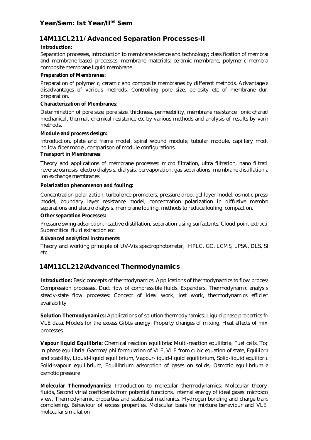#### **Year/Sem: Ist Year/IInd Sem**

#### **14M11CL211/ Advanced Separation Processes-II**

#### **Introduction:**

Separation processes, introduction to membrane science and technology; classification of membranes and membrane based processes; membrane materials: ceramic membrane, polymeric membra composite membrane liquid membrane

#### **Preparation of Membranes**:

Preparation of polymeric, ceramic and composite membranes by different methods. Advantage  $\epsilon$ disadvantages of various methods. Controlling pore size, porosity etc of membrane during preparation.

#### **Characterization of Membranes**:

Determination of pore size, pore size, thickness, permeability, membrane resistance, ionic character mechanical, thermal, chemical resistance etc by various methods and analysis of results by various methods.

#### **Module and process design:**

Introduction, plate and frame model, spiral wound module, tubular module, capillary modu hollow fiber model, comparison of module configurations.

#### **Transport in Membranes**:

Theory and applications of membrane processes: micro filtration, ultra filtration, nano filtrati reverse osmosis, electro dialysis, dialysis, pervaporation, gas separations, membrane distillation and ion exchange membranes.

#### **Polarization phenomenon and fouling:**

Concentration polarization, turbulence promoters, pressure drop, gel layer model, osmotic presser model, boundary layer resistance model, concentration polarization in diffusive membrane separations and electro dialysis, membrane fouling, methods to reduce fouling, compaction.

#### **Other separation Processes:**

Pressure swing adsorption, reactive distillation, separation using surfactants, Cloud point extracti Supercritical fluid extraction etc.

#### **Advanced analytical instruments:**

Theory and working principle of UV-Vis spectrophotometer, HPLC, GC, LCMS, LPSA, DLS, SI etc.

#### **14M11CL212/Advanced Thermodynamics**

**Introduction:** Basic concepts of thermodynamics, Applications of thermodynamics to flow process Compression processes, Duct flow of compressible fluids, Expanders, Thermodynamic analysis steady-state flow processes: Concept of ideal work, lost work, thermodynamics efficien availability

**Solution Thermodynamics:** Applications of solution thermodynamics: Liquid phase properties from VLE data, Models for the excess Gibbs energy, Property changes of mixing, Heat effects of mix processes

**Vapour liquid Equilibria:** Chemical reaction equilibria: Multi-reaction equilibria, Fuel cells, Topics in phase equilibria: Gamma/phi formulation of VLE, VLE from cubic equation of state, Equilibring and stability, Liquid-liquid equilibrium, Vapour-liquid-liquid equilibrium, Solid-liquid equilibrit Solid-vapour equilibrium, Equilibrium adsorption of gases on solids, Osmotic equilibrium  $\epsilon$ osmotic pressure

**Molecular Thermodynamics:** Introduction to molecular thermodynamics: Molecular theory fluids, Second virial coefficients from potential functions, Internal energy of ideal gases: microsco view. Thermodynamic properties and statistical mechanics. Hydrogen bonding and charge trans complexing, Behaviour of excess properties, Molecular basis for mixture behaviour and VLE molecular simulation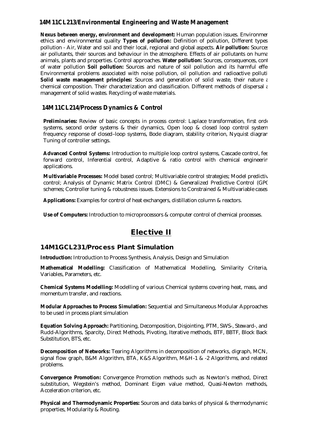#### **14M11CL213/Environmental Engineering and Waste Management**

**Nexus between energy, environment and development:** Human population issues. Environmer ethics and environmental quality **Types of pollution:** Definition of pollution, Different types pollution - Air, Water and soil and their local, regional and global aspects. Air pollution: Sources air pollutants, their sources and behaviour in the atmosphere. Effects of air pollutants on huma animals, plants and properties. Control approaches. **Water pollution:** Sources, consequences, control of water pollution **Soil pollution:** Sources and nature of soil pollution and its harmful effee Environmental problems associated with noise pollution, oil pollution and radioactive polluti **Solid waste management principles:** Sources and generation of solid waste, their nature and chemical composition. Their characterization and classification. Different methods of dispersal and management of solid wastes. Recycling of waste materials.

#### **14M11CL214/Process Dynamics & Control**

Preliminaries: Review of basic concepts in process control: Laplace transformation, first order systems, second order systems & their dynamics, Open loop & closed loop control system frequency response of closed–loop systems, Bode diagram, stability criterion, Nyquist diagram, Tuning of controller settings.

**Advanced Control Systems:** Introduction to multiple loop control systems, Cascade control, feed forward control, Inferential control, Adaptive & ratio control with chemical engineering applications.

**Multivariable Processes:** Model based control; Multivariable control strategies; Model predictiv control; Analysis of Dynamic Matrix Control (DMC) & Generalized Predictive Control (GPC) schemes; Controller tuning & robustness issues. Extensions to Constrained & Multivariable cases.

**Applications:** Examples for control of heat exchangers, distillation column & reactors.

**Use of Computers:** Introduction to microprocessors & computer control of chemical processes.

#### **Elective II**

#### **14M1GCL231/Process Plant Simulation**

**Introduction:** Introduction to Process Synthesis, Analysis, Design and Simulation

**Mathematical Modelling:** Classification of Mathematical Modelling, Similarity Criteria, Variables, Parameters, etc.

**Chemical Systems Modelling:** Modelling of various Chemical systems covering heat, mass, and momentum transfer, and reactions.

**Modular Approaches to Process Simulation:** Sequential and Simultaneous Modular Approaches to be used in process plant simulation

**Equation Solving Approach:** Partitioning, Decomposition, Disjointing, PTM, SWS-, Steward-, and Rudd-Algorithms, Sparcity, Direct Methods, Pivoting, Iterative methods, BTF, BBTF, Block Back Substitution, BTS, etc.

**Decomposition of Networks:** Tearing Algorithms in decomposition of networks, digraph, MCN, signal flow graph, B&M Algorithm, BTA, K&S Algorithm, M&H-1 & -2 Algorithms, and related problems.

**Convergence Promotion:** Convergence Promotion methods such as Newton's method, Direct substitution, Wegstein's method, Dominant Eigen value method, Quasi-Newton methods, Acceleration criterion, etc.

**Physical and Thermodynamic Properties:** Sources and data banks of physical & thermodynamic properties, Modularity & Routing.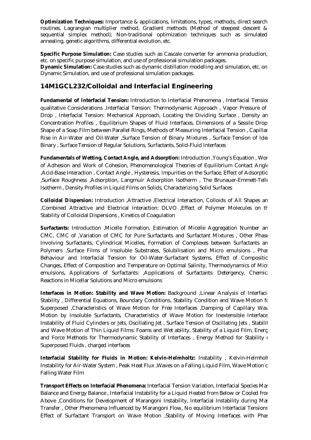**Optimization Techniques:** Importance & applications, limitations, types, methods, direct search routines, Lagrangian multiplier method, Gradient methods (Method of steepest descent & sequential simplex method); Non-traditional optimization techniques such as simulated annealing, genetic algorithms, differential evolution, etc.

**Specific Purpose Simulation:** Case studies such as Cascale converter for ammonia production, etc. on specific purpose simulation, and use of professional simulation packages.

**Dynamic Simulation:** Case studies such as dynamic distillation modelling and simulation, etc. on Dynamic Simulation, and use of professional simulation packages.

#### **14M1GCL232/Colloidal and Interfacial Engineering**

**Fundamental of Interfacial Tension:** Introduction to Interfacial Phenomena , Interfacial Tension: qualitative Considerations ,Interfacial Tension: Thermodynamic Approach , Vapor Pressure of a Drop, Interfacial Tension: Mechanical Approach, Locating the Dividing Surface, Density an Concentration Profiles , Equilibrium Shapes of Fluid Interfaces, Dimensions of a Sessile Drop , Shape of a Soap Film between Parallel Rings, Methods of Measuring Interfacial Tension , Capillary Rise in Air-Water and Oil-Water , Surface Tension of Binary Mixtures , Surface Tension of Ideal Binary , Surface Tension of Regular Solutions, Surfactants, Solid-Fluid Interfaces

**Fundamentals of Wetting, Contact Angle, and Adsorption:** Introduction ,Young's Equation , Work of Adhesion and Work of Cohesion, Phenomenological Theories of Equilibrium Contact Angles ,Acid-Base Interaction, Contact Angle, Hysteresis, Impurities on the Surface, Effect of Adsorptio ,Surface Roughness ,Adsorption, Langmuir Adsorption Isotherm , The Brunauer-Emmett-Teller Isotherm , Density Profiles in Liquid Films on Solids, Characterizing Solid Surfaces

**Colloidal Dispersion:** Introduction ,Attractive ,Electrical Interaction, Colloids of All Shapes and ,Combined Attractive and Electrical Interaction: DLVO ,Effect of Polymer Molecules on the Stability of Colloidal Dispersions , Kinetics of Coagulation

**Surfactants:** Introduction ,Micelle Formation, Estimation of Micelle Aggregation Number an CMC, CMC of , Variation of CMC for Pure Surfactants and Surfactant Mixtures, Other Phase Involving Surfactants, Cylindrical Micelles, Formation of Complexes between Surfactants an Polymers , Surface Films of Insoluble Substrates, Solubilisation and Micro emulsions , Phase Behaviour and Interfacial Tension for Oil-Water-Surfactant Systems, Effect of Composition Changes, Effect of Composition and Temperature on Optimal Salinity, Thermodynamics of Micr emulsions, Applications of Surfactants: ,Applications of Surfactants: Detergency, Chemical Reactions in Micellar Solutions and Micro emulsions

**Interfaces in Motion: Stability and Wave Motion:** Background , Linear Analysis of Interfacial Stability, Differential Equations, Boundary Conditions, Stability Condition and Wave Motion for Superposed , Characteristics of Wave Motion for Free Interfaces , Damping of Capillary Wav Motion by Insoluble Surfactants, Characteristics of Wave Motion for Inextensible Interface Instability of Fluid Cylinders or Jets, Oscillating Jet , Surface Tension of Oscillating Jets , Stability and Wave Motion of Thin Liquid Films: Foams and Wet ability, Stability of a Liquid Film, Energ and Force Methods for Thermodynamic Stability of Interfaces, Energy Method for Stability of Superposed Fluids , charged interfaces

**Interfacial Stability for Fluids in Motion: Kelvin-Helmholtz: Instability, Kelvin-Helmholt** Instability for Air-Water System, Peak Heat Flux, Waves on a Falling Liquid Film, Wave Motion o Falling Water Film

**Transport Effects on Interfacial Phenomena:** Interfacial Tension Variation, Interfacial Species Mass Balance and Energy Balance , Interfacial Instability for a Liquid Heated from Below or Cooled from Above ,Conditions for Development of Marangoni Instability, Interfacial Instability during Mass Transfer , Other Phenomena Influenced by Marangoni Flow, No equilibrium Interfacial Tensions , Effect of Surfactant Transport on Wave Motion , Stability of Moving Interfaces with Phase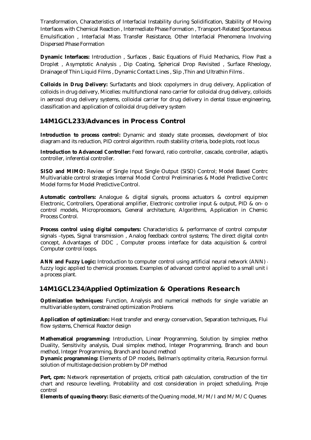Transformation, Characteristics of Interfacial Instability during Solidification, Stability of Moving Interfaces with Chemical Reaction , Intermediate Phase Formation , Transport-Related Spontaneous Emulsification , Interfacial Mass Transfer Resistance, Other Interfacial Phenomena Involving Dispersed Phase Formation

**Dynamic Interfaces:** Introduction , Surfaces , Basic Equations of Fluid Mechanics, Flow Past a Droplet , Asymptotic Analysis , Dip Coating, Spherical Drop Revisited , Surface Rheology, Drainage of Thin Liquid Films , Dynamic Contact Lines , Slip ,Thin and Ultrathin Films .

**Colloids in Drug Delivery:** Surfactants and block copolymers in drug delivery, Application of colloids in drug delivery, Micelles: multifunctional nano carrier for colloidal drug delivery, colloids in aerosol drug delivery systems, colloidal carrier for drug delivery in dental tissue engineering, classification and application of colloidal drug delivery system

#### **14M1GCL233/Advances in Process Control**

**Introduction to process control:** Dynamic and steady state processes, development of bloc diagram and its reduction, PID control algorithm. routh stability criteria, bode plots, root locus

**Introduction to Advanced Controller:** Feed forward, ratio controller, cascade, controller, adaptive controller, inferential controller.

**SISO and MIMO:** Review of Single Input Single Output (SISO) Control; Model Based Control Multivariable control strategies Internal Model Control Preliminaries & Model Predictive Control; Model forms for Model Predictive Control.

**Automatic controllers:** Analogue & digital signals, process actuators & control equipmen Electronic, Controllers, Operational amplifier, Electronic controller input & output, PID & on- of control models, Microprocessors, General architecture, Algorithms, Application in Chemical Process Control.

**Process control using digital computers:** Characteristics & performance of control computer , signals –types, Signal transmission, Analog feedback control systems; The direct digital control concept, Advantages of DDC, Computer process interface for data acquisition & control Computer control loops.

**ANN and Fuzzy Logic:** Introduction to computer control using artificial neural network (ANN) & fuzzy logic applied to chemical processes. Examples of advanced control applied to a small unit in a process plant.

#### **14M1GCL234/Applied Optimization & Operations Research**

**Optimization techniques:** Function, Analysis and numerical methods for single variable and multivariable system, constrained optimization Problems

**Application of optimization:** Heat transfer and energy conservation, Separation techniques, Fluid flow systems, Chemical Reactor design

**Mathematical programming:** Introduction, Linear Programming, Solution by simplex method Duality, Sensitivity analysis, Dual simplex method, Integer Programming, Branch and boun method, Integer Programming, Branch and bound method

**Dynamic programming:** Elements of DP models, Bellman's optimality criteria, Recursion formula solution of multistage decision problem by DP method

Pert, cpm: Network representation of projects, critical path calculation, construction of the tim chart and resource levelling, Probability and cost consideration in project scheduling, Project control

**Elements of queuing theory:** Basic elements of the Quening model, M/M/I and M/M/C Quenes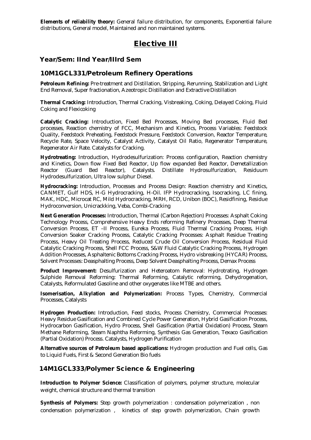**Elements of reliability theory:** General failure distribution, for components, Exponential failure distributions, General model, Maintained and non maintained systems.

#### **Elective III**

#### **Year/Sem: IInd Year/IIIrd Sem**

#### **10M1GCL331/Petroleum Refinery Operations**

**Petroleum Refining:** Pre-treatment and Distillation, Stripping, Rerunning, Stabilization and Light End Removal, Super fractionation, Azeotropic Distillation and Extractive Distillation

**Thermal Cracking:** Introduction, Thermal Cracking, Visbreaking, Coking, Delayed Coking, Fluid Coking and Flexicoking

**Catalytic Cracking:** Introduction, Fixed Bed Processes, Moving Bed processes, Fluid Bed processes, Reaction chemistry of FCC, Mechanism and Kinetics, Process Variables: Feedstock Quality, Feedstock Preheating, Feedstock Pressure, Feedstock Conversion, Reactor Temperature, Recycle Rate, Space Velocity, Catalyst Activity, Catalyst Oil Ratio, Regenerator Temperature, Regenerator Air Rate. Catalysts for Cracking.

**Hydrotreating:** Introduction, Hydrodesulfurization: Process configuration, Reaction chemistry and Kinetics, Down flow Fixed Bed Reactor, Up flow expanded Bed Reactor, Demetallization Reactor (Guard Bed Reactor), Catalysts. Distillate Hydrosulfurization, Residuum Hydrodesulfurization, Ultra low sulphur Diesel.

**Hydrocracking:** Introduction, Processes and Process Design: Reaction chemistry and Kinetics, CANMET, Gulf HDS, H-G Hydrocracking, H-Oil. IFP Hydrocracking, Isocracking, LC fining, MAK, HDC, Microcat RC, Mild Hydrocracking, MRH, RCD, Unibon (BOC), Residfining, Residue Hydroconversion, Unicrackking, Veba, Combi-Cracking

**Next Generation Processes:** Introduction, Thermal (Carbon Rejection) Processes: Asphalt Coking Technology Process, Comprehensive Heavy Ends reforming Refinery Processes, Deep Thermal Conversion Process, ET –II Process, Eureka Process, Fluid Thermal Cracking Process, High Conversion Soaker Cracking Process, Catalytic Cracking Processes: Asphalt Residue Treating Process, Heavy Oil Treating Process, Reduced Crude Oil Conversion Process, Residual Fluid Catalytic Cracking Process, Shell FCC Process, S&W Fluid Catalytic Cracking Process, Hydrogen Addition Processes, Asphaltenic Bottoms Cracking Process, Hydro visbreaking (HYCAR) Process, Solvent Processes: Deasphalting Process, Deep Solvent Deasphalting Process, Demax Process

**Product Improvement:** Desulfurization and Heteroatom Removal: Hydrotrating, Hydrogen Sulphide Removal Reforming: Thermal Reforming, Catalytic reforming, Dehydrogenation, Catalysts, Reformulated Gasoline and other oxygenates like MTBE and others.

**Isomerisation, Alkylation and Polymerization:** Process Types, Chemistry, Commercial Processes, Catalysts

**Hydrogen Production:** Introduction, Feed stocks, Process Chemistry, Commercial Processes: Heavy Residue Gasification and Combined Cycle Power Generation, Hybrid Gasification Process, Hydrocarbon Gasification, Hydro Process, Shell Gasification (Partial Oxidation) Process, Steam Methane Reforming, Steam Naphtha Reforming, Synthesis Gas Generation, Texaco Gasification (Partial Oxidation) Process. Catalysts, Hydrogen Purification

**Alternative sources of Petroleum based applications:** Hydrogen production and Fuel cells, Gas to Liquid Fuels, First & Second Generation Bio fuels

#### **14M1GCL333/Polymer Science & Engineering**

**Introduction to Polymer Science:** Classification of polymers, polymer structure, molecular weight, chemical structure and thermal transition

**Synthesis of Polymers:** Step growth polymerization : condensation polymerization , non condensation polymerization , kinetics of step growth polymerization, Chain growth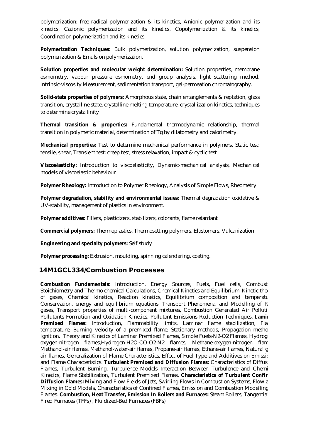polymerization: free radical polymerization & its kinetics, Anionic polymerization and its kinetics, Cationic polymerization and its kinetics, Copolymerization & its kinetics, Coordination polymerization and its kinetics.

**Polymerization Techniques:** Bulk polymerization, solution polymerization, suspension polymerization & Emulsion polymerization.

**Solution properties and molecular weight determination:** Solution properties, membrane osmometry, vapour pressure osmometry, end group analysis, light scattering method, intrinsic-viscosity Measurement, sedimentation transport, gel-permeation chromatography.

**Solid-state properties of polymers:** Amorphous state, chain entanglements & reptation, glass transition, crystalline state, crystalline melting temperature, crystallization kinetics, techniques to determine crystallinity

**Thermal transition & properties:** Fundamental thermodynamic relationship, thermal transition in polymeric material, determination of Tg by dilatometry and calorimetry.

**Mechanical properties:** Test to determine mechanical performance in polymers, Static test: tensile, shear, Transient test: creep test, stress relaxation, impact & cyclic test

**Viscoelasticity:** Introduction to viscoelasticity, Dynamic-mechanical analysis, Mechanical models of viscoelastic behaviour

**Polymer Rheology:** Introduction to Polymer Rheology, Analysis of Simple Flows, Rheometry.

**Polymer degradation, stability and environmental issues:** Thermal degradation oxidative & UV-stability, management of plastics in environment.

**Polymer additives:** Fillers, plasticizers, stabilizers, colorants, flame retardant

**Commercial polymers:** Thermoplastics, Thermosetting polymers, Elastomers, Vulcanization

**Engineering and specialty polymers:** Self study

**Polymer processing:** Extrusion, moulding, spinning calendaring, coating.

#### **14M1GCL334/Combustion Processes**

**Combustion Fundamentals:** Introduction, Energy Sources, Fuels, Fuel cells, Combust Stoichiometry and Thermo chemical Calculations, Chemical Kinetics and Equilibrium: Kinetic the of gases, Chemical kinetics, Reaction kinetics, Equilibrium composition and temperature Conservation, energy and equilibrium equations, Transport Phenomena, and Modelling of R gases, Transport properties of multi-component mixtures, Combustion Generated Air Polluti Pollutants Formation and Oxidation Kinetics, Pollutant Emissions Reduction Techniques. Lamina **Premixed Flames:** Introduction, Flammability limits, Laminar flame stabilization, Fla temperature, Burning velocity of a premixed flame, Stationary methods, Propagation metho Ignition. Theory and Kinetics of Laminar Premixed Flames, Simple Fuels-N2-O2 Flames, Hydrog oxygen-nitrogen flames, Hydrogen-H2O-CO-O2-N2 flames, Methane-oxygen-nitrogen flam Methanol-air flames, Methanol-water-air flames, Propane-air flames, Ethane-air flames, Natural q air flames, Generalization of Flame Characteristics, Effect of Fuel Type and Additives on Emission and Flame Characteristics. Turbulent Premixed and Diffusion Flames: Characteristics of Diffus Flames, Turbulent Burning, Turbulence Models Interaction Between Turbulence and Chemi Kinetics, Flame Stabilization, Turbulent Premixed Flames. **Characteristics of Turbulent Confir Diffusion Flames:** Mixing and Flow Fields of Jets, Swirling Flows in Combustion Systems, Flow and Mixing in Cold Models, Characteristics of Confined Flames, Emission and Combustion Modelling in Flames. Combustion, Heat Transfer, Emission In Boilers and Furnaces: Steam Boilers, Tangentia Fired Furnaces (TFFs) , Fluidized-Bed Furnaces (FBFs)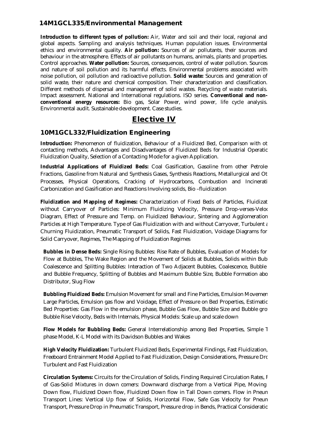#### **14M1GCL335/Environmental Management**

Introduction to different types of pollution: Air, Water and soil and their local, regional and global aspects. Sampling and analysis techniques. Human population issues. Environmental ethics and environmental quality. **Air pollution:** Sources of air pollutants, their sources and behaviour in the atmosphere. Effects of air pollutants on humans, animals, plants and properties. Control approaches. **Water pollution:** Sources, consequences, control of water pollution. Sources and nature of soil pollution and its harmful effects. Environmental problems associated with noise pollution, oil pollution and radioactive pollution. **Solid waste:** Sources and generation of solid waste, their nature and chemical composition. Their characterization and classification. Different methods of dispersal and management of solid wastes. Recycling of waste materials. Impact assessment. National and International regulations. ISO series. **Conventional and nonconventional energy resources:** Bio gas, Solar Power, wind power, life cycle analysis. Environmental audit. Sustainable development. Case studies.

#### **Elective IV**

#### **10M1GCL332/Fluidization Engineering**

**Introduction:** Phenomenon of fluidization, Behaviour of a Fluidized Bed, Comparison with ot contacting methods, Advantages and Disadvantages of Fluidized Beds for Industrial Operatic Fluidization Quality, Selection of a Contacting Mode for a given Application.

Industrial Applications of Fluidized Beds: Coal Gasification, Gasoline from other Petrolet Fractions, Gasoline from Natural and Synthesis Gases, Synthesis Reactions, Metallurgical and Ot Processes, Physical Operations, Cracking of Hydrocarbons, Combustion and Incinerati Carbonization and Gasification and Reactions Involving solids, Bio –fluidization

**Fluidization and Mapping of Regimes:** Characterization of Fixed Beds of Particles, Fluidization without Carryover of Particles: Minimum Fluidizing Velocity, Pressure Drop-verses-Veloc Diagram, Effect of Pressure and Temp. on Fluidized Behaviour, Sintering and Agglomeration Particles at High Temperature. Type of Gas Fluidization with and without Carryover, Turbulent  $\epsilon$ Churning Fluidization, Pneumatic Transport of Solids, Fast Fluidization, Voidage Diagrams for all Solid Carryover, Regimes, The Mapping of Fluidization Regimes

**Bubbles in Dense Beds:** Single Rising Bubbles: Rise Rate of Bubbles, Evaluation of Models for Flow at Bubbles, The Wake Region and the Movement of Solids at Bubbles, Solids within Bubles. Coalescence and Splitting Bubbles: Interaction of Two Adiacent Bubbles, Coalescence, Bubble and Bubble Frequency, Splitting of Bubbles and Maximum Bubble Size, Bubble Formation abo Distributor, Slug Flow

**Bubbling Fluidized Beds:** Emulsion Movement for small and Fine Particles, Emulsion Movemen Large Particles, Emulsion gas flow and Voidage, Effect of Pressure on Bed Properties, Estimatic Bed Properties: Gas Flow in the emulsion phase, Bubble Gas Flow, Bubble Size and Bubble gro Bubble Rise Velocity, Beds with Internals, Physical Models: Scale up and scale down

**Flow Models for Bubbling Beds:** General Interrelationship among Bed Properties, Simple T phase Model, K-L Model with its Davidson Bubbles and Wakes

High Velocity Fluidization: Turbulent Fluidized Beds, Experimental Findings, Fast Fluidization, Freeboard Entrainment Model Applied to Fast Fluidization, Design Considerations, Pressure Drc Turbulent and Fast Fluidization

**Circulation Systems:** Circuits for the Circulation of Solids, Finding Required Circulation Rates, Flow of Gas-Solid Mixtures in down comers: Downward discharge from a Vertical Pipe, Moving Down flow, Fluidized Down flow, Fluidized Down flow in Tall Down comers. Flow in Pneun Transport Lines: Vertical Up flow of Solids, Horizontal Flow, Safe Gas Velocity for Pneun Transport, Pressure Drop in Pneumatic Transport, Pressure drop in Bends, Practical Considerations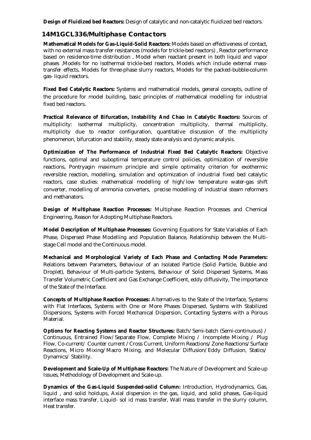**Design of Fluidized bed Reactors:** Design of catalytic and non-catalytic fluidized bed reactors.

#### **14M1GCL336/Multiphase Contactors**

**Mathematical Models for Gas-Liquid-Solid Reactors:** Models based on effectiveness of contact, with no external mass transfer resistances (models for trickle-bed reactors) , Reactor performance based on residence-time distribution , Model when reactant present in both liquid and vapor phases ,Models for no isothermal trickle-bed reactors, Models which include external masstransfer effects, Models for three-phase slurry reactors, Models for the packed-bubble-column gas- liquid reactors.

**Fixed Bed Catalytic Reactors:** Systems and mathematical models, general concepts, outline of the procedure for model building, basic principles of mathematical modelling for industrial fixed bed reactors.

**Practical Relevance of Bifurcation, Instability And Chao in Catalytic Reactors:** Sources of multiplicity: isothermal multiplicity, concentration multiplicity, thermal multiplicity, multiplicity due to reactor configuration, quantitative discussion of the multiplicity phenomenon, bifurcation and stability, steady state analysis and dynamic analysis.

**Optimization of The Performance of Industrial Fixed Bed Catalytic Reactors:** Objective functions, optimal and suboptimal temperature control policies, optimization of reversible reactions, Pontryagin maximum principle and simple optimality criterion for exothermic reversible reaction, modelling, simulation and optimization of industrial fixed bed catalytic reactors, case studies: mathematical modelling of high/low temperature water-gas shift converter, modelling of ammonia converters, precise modelling of industrial steam reformers and methanators.

**Design of Multiphase Reaction Processes:** Multiphase Reaction Processes and Chemical Engineering, Reason for Adopting Multiphase Reactors.

**Model Description of Multiphase Processes:** Governing Equations for State Variables of Each Phase, Dispersed Phase Modelling and Population Balance, Relationship between the Multistage Cell model and the Continuous model.

**Mechanical and Morphological Variety of Each Phase and Contacting Mode Parameters:**  Relations between Parameters, Behaviour of an Isolated Particle (Solid Particle, Bubble and Droplet), Behaviour of Multi-particle Systems, Behaviour of Solid Dispersed Systems, Mass Transfer Volumetric Coefficient and Gas Exchange Coefficient, eddy diffusivity, The importance of the State of the Interface.

**Concepts of Multiphase Reaction Processes:** Alternatives to the State of the Interface, Systems with Flat Interfaces, Systems with One or More Phases Dispersed, Systems with Stabilized Dispersions, Systems with Forced Mechanical Dispersion, Contacting Systems with a Porous Material.

**Options for Reacting Systems and Reactor Structures:** Batch/Semi-batch (Semi-continuous) / Continuous, Entrained Flow/Separate Flow, Complete Mixing / Incomplete Mixing / Plug Flow, Co-current/ Counter current /Cross Current, Uniform Reactions/Zone Reactions/Surface Reactions, Micro Mixing/Macro Mixing, and Molecular Diffusion/Eddy Diffusion, Statics/ Dynamics/ Stability.

**Development and Scale-Up of Multiphase Reactors:** The Nature of Development and Scale-up Issues, Methodology of Development and Scale-up.

**Dynamics of the Gas-Liquid Suspended-solid Column:** Introduction, Hydrodynamics, Gas, liquid , and solid holdups, Axial dispersion in the gas, liquid, and solid phases, Gas-liquid interface mass transfer, Liquid- sol id mass transfer, Wall mass transfer in the slurry column, Heat transfer.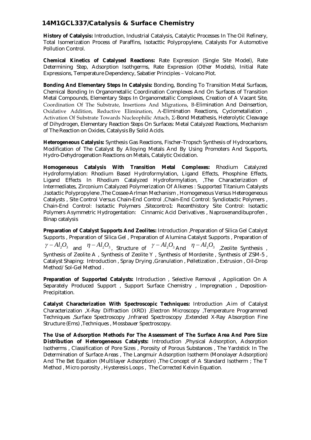#### **14M1GCL337/Catalysis & Surface Chemistry**

**History of Catalysis:** Introduction, Industrial Catalysis, Catalytic Processes In The Oil Refinery, Total Isomerization Process of Paraffins, Isotacttic Polypropylene, Catalysts For Automotive Pollution Control.

**Chemical Kinetics of Catalysed Reactions:** Rate Expression (Single Site Model), Rate Determining Step, Adsorption Isothgerms, Rate Expression (Other Models), Initial Rate Expressions, Temperature Dependency, Sabatier Principles – Volcano Plot.

**Bonding And Elementary Steps In Catalysis:** Bonding, Bonding To Transition Metal Surfaces, Chemical Bonding In Organometallic Coordination Complexes And On Surfaces of Transition Metal Compounds, Elementary Steps In Organometallic Complexes, Creation of A Vacant Site, Coordination Of The Substrate, Insertions And Migrations, Β-Elimination And Deinsertion, Oxidative Addition, Reductive Elimination, Α-Elimination Reactions, Cyclometallation , Activation Of Substrate Towards Nucleophilic Attach, Σ-Bond Metathesis, Heterolytic Cleavage of Dihydrogen, Elementary Reaction Steps On Surfaces: Metal Catalyzed Reactions, Mechanism of The Reaction on Oxides, Catalysis By Solid Acids.

**Heterogeneous Catalysis:** Synthesis Gas Reactions, Fischer-Tropsch Synthesis of Hydrocarbons, Modification of The Catalyst By Alloying Metals And By Using Promoters And Supports, Hydro-Dehydrogenation Reactions on Metals, Catalytic Oxidation.

**Homogeneous Catalysis With Transition Metal Complexes:** Rhodium Catalyzed Hydroformylation: Rhodium Based Hydroformylation, Ligand Effects, Phosphine Effects, Ligand Effects In Rhodium Catalyzed Hydroformylation, ,The Characterization of Intermediates, Zirconium Catalyzed Polymerization Of Alkenes : Supported Titanium Catalysts ,Isotactic Polypropylene ,The Cossee-Arlman Mechanism , Homogeneous Versus Heterogeneous Catalysts , Site Control Versus Chain-End Control ,Chain-End Control: Syndiotactic Polymers , Chain-End Control: Isotactic Polymers ,Sitecontro1: Recenthistory Site Control: Isotactic Polymers Asymmetric Hydrogentation: Cinnamic Acid Derivatives, Naproxenandibuprofen, Binap catalysis

**Preparation of Catalyst Supports And Zeolites:** Introduction ,Preparation of Silica Gel Catalyst Supports , Preparation of Silica Gel , Preparation of Alumina Catalyst Supports , Preparation of  $\gamma - Al_2O_3$  and  $\eta - Al_2O_3$ , Structure of  $\gamma - Al_2O_3$  And  $\eta - Al_2O_3$  Zeolite Synthesis , Synthesis of Zeolite A , Synthesis of Zeolite Y , Synthesis of Mordenite , Synthesis of ZSM-5 , Catalyst Shaping: Introduction , Spray Drying ,Granulation , Pelletization , Extrusion , Oil-Drop Method/Sol-Gel Method .

**Preparation of Supported Catalysts:** Introduction , Selective Removal , Application On A Separately Produced Support , Support Surface Chemistry , Impregnation , Deposition-Precipitation.

**Catalyst Characterization With Spectroscopic Techniques:** Introduction ,Aim of Catalyst Characterization ,X-Ray Diffraction (XRD) ,Electron Microscopy ,Temperature Programmed Techniques ,Surface Spectroscopy ,Infrared Spectroscopy ,Extended X-Ray Absorption Fine Structure (Ems) ,Techniques , Mossbauer Spectroscopy.

**The Use of Adsorption Methods For The Assessment of The Surface Area And Pore Size Distribution of Heterogeneous Catalysts:** Introduction ,Physical Adsorption, Adsorption Isotherms , Classification of Pore Sizes , Porosity of Porous Substances , The Yardstick In The Determination of Surface Areas , The Langmuir Adsorption Isotherm (Monolayer Adsorption) And The Bet Equation (Multilayer Adsorption) ,The Concept of A Standard Isotherm ; The T Method , Micro porosity , Hysteresis Loops , The Corrected Kelvin Equation.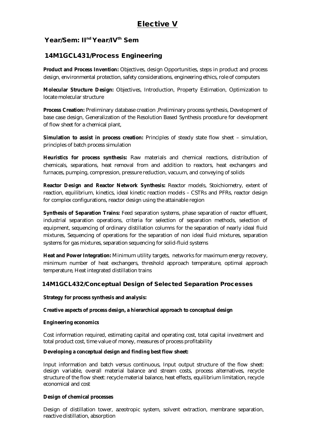#### **Year/Sem: IInd Year/IVth Sem**

#### **14M1GCL431/Process Engineering**

**Product and Process Invention:** Objectives, design Opportunities, steps in product and process design, environmental protection, safety considerations, engineering ethics, role of computers

**Molecular Structure Design:** Objectives, Introduction, Property Estimation, Optimization to locate molecular structure

**Process Creation:** Preliminary database creation ,Preliminary process synthesis, Development of base case design, Generalization of the Resolution Based Synthesis procedure for development of flow sheet for a chemical plant,

**Simulation to assist in process creation:** Principles of steady state flow sheet – simulation, principles of batch process simulation

**Heuristics for process synthesis:** Raw materials and chemical reactions, distribution of chemicals, separations, heat removal from and addition to reactors, heat exchangers and furnaces, pumping, compression, pressure reduction, vacuum, and conveying of solids

**Reactor Design and Reactor Network Synthesis:** Reactor models, Stoichiometry, extent of reaction, equilibrium, kinetics, ideal kinetic reaction models – CSTRs and PFRs, reactor design for complex configurations, reactor design using the attainable region

**Synthesis of Separation Trains:** Feed separation systems, phase separation of reactor effluent, industrial separation operations, criteria for selection of separation methods, selection of equipment, sequencing of ordinary distillation columns for the separation of nearly ideal fluid mixtures, Sequencing of operations for the separation of non ideal fluid mixtures, separation systems for gas mixtures, separation sequencing for solid-fluid systems

**Heat and Power Integration:** Minimum utility targets, networks for maximum energy recovery, minimum number of heat exchangers, threshold approach temperature, optimal approach temperature, Heat integrated distillation trains

#### **14M1GCL432/Conceptual Design of Selected Separation Processes**

#### **Strategy for process synthesis and analysis:**

**Creative aspects of process design, a hierarchical approach to conceptual design**

#### **Engineering economics**

Cost information required, estimating capital and operating cost, total capital investment and total product cost, time value of money, measures of process profitability

#### **Developing a conceptual design and finding best flow sheet:**

Input information and batch versus continuous, Input output structure of the flow sheet: design variable, overall material balance and stream costs, process alternatives, recycle structure of the flow sheet: recycle material balance, heat effects, equilibrium limitation, recycle economical and cost

#### **Design of chemical processes**

Design of distillation tower, azeotropic system, solvent extraction, membrane separation, reactive distillation, absorption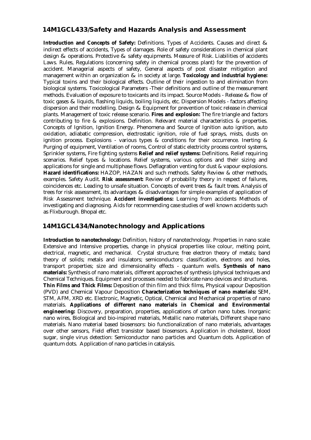#### **14M1GCL433/Safety and Hazards Analysis and Assessment**

**Introduction and Concepts of Safety:** Definitions. Types of Accidents. Causes and direct & indirect effects of accidents, Types of damages. Role of safety considerations in chemical plant design & operations. Protective & safety equipments. Measure of Risk. Liabilities of accidents Laws. Rules, Regulations (concerning safety in chemical process plant) for the prevention of accident. Managerial aspects of safety, General aspects of post disaster mitigation and management within an organization & in society at large. **Toxicology and industrial hygiene:**  Typical toxins and their biological effects. Outline of their ingestion to and elimination from biological systems. Toxicological Parameters -Their definitions and outline of the measurement methods. Evaluation of exposure to toxicants and its impact. Source Models - Release & flow of toxic gases & liquids, flashing liquids, boiling liquids, etc. Dispersion Models - factors affecting dispersion and their modelling. Design & Equipment for prevention of toxic release in chemical plants. Management of toxic release scenario. **Fires and explosion:** The fire triangle and factors contributing to fire & explosions. Definition. Relevant material characteristics & properties. Concepts of Ignition, Ignition Energy. Phenomena and Source of Ignition auto ignition, auto oxidation, adiabatic compression, electrostatic ignition, role of fuel sprays, mists, dusts on ignition process. Explosions - various types & conditions for their occurrence. Inerting & Purging of equipment, Ventilation of rooms, Control of static electricity process control systems, Sprinkler systems, Fire fighting systems **Relief and relief systems:** Definitions. Relief requiring scenarios. Relief types & locations. Relief systems, various options and their sizing and applications for single and multiphase flows. Deflagration venting for dust & vapour explosions. **Hazard identifications:** HAZOP, HAZAN and such methods. Safety Review & other methods, examples. Safety Audit. **Risk assessment:** Review of probability theory in respect of failures, coincidences etc. Leading to unsafe situation. Concepts of event trees & fault trees. Analysis of trees for risk assessment, its advantages & disadvantages for simple examples of application of Risk Assessment technique. **Accident investigations:** Learning from accidents Methods of investigating and diagnosing. Aids for recommending case studies of well known accidents such as Flixburough. Bhopal etc.

#### **14M1GCL434/Nanotechnology and Applications**

**Introduction to nanotechnology:** Definition, history of nanotechnology. Properties in nano scale: Extensive and Intensive properties, change in physical properties like colour, melting point, electrical, magnetic, and mechanical. Crystal structure; free electron theory of metals; band theory of solids; metals and insulators; semiconductors: classification, electrons and holes, transport properties; size and dimensionality effects - quantum wells. **Synthesis of nano materials:** Synthesis of nano materials, different approaches of synthesis (physical techniques and Chemical Techniques. Equipment and processes needed to fabricate nano devices and structures. **Thin Films and Thick Films:** Deposition of thin film and thick films, Physical vapour Deposition (PVD) and Chemical Vapour Deposition **Characterization techniques of nano materials:** SEM, STM, AFM, XRD etc. Electronic, Magnetic, Optical, Chemical and Mechanical properties of nano materials. **Applications of different nano materials in Chemical and Environmental engineering:** Discovery, preparation, properties, applications of carbon nano tubes. Inorganic nano wires, Biological and bio-inspired materials, Metallic nano materials, Different shape nano materials. Nano material based biosensors: bio functionalization of nano materials, advantages over other sensors, Field effect transistor based biosensors. Application in cholesterol, blood sugar, single virus detection: Semiconductor nano particles and Quantum dots. Application of quantum dots. Application of nano particles in catalysis.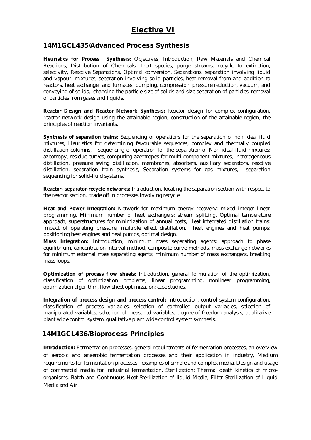## **Elective VI**

#### **14M1GCL435/Advanced Process Synthesis**

**Heuristics for Process Synthesis:** Objectives, Introduction, Raw Materials and Chemical Reactions, Distribution of Chemicals: Inert species, purge streams, recycle to extinction, selectivity, Reactive Separations, Optimal conversion, Separations: separation involving liquid and vapour, mixtures, separation involving solid particles, heat removal from and addition to reactors, heat exchanger and furnaces, pumping, compression, pressure reduction, vacuum, and conveying of solids, changing the particle size of solids and size separation of particles, removal of particles from gases and liquids.

**Reactor Design and Reactor Network Synthesis:** Reactor design for complex configuration, reactor network design using the attainable region, construction of the attainable region, the principles of reaction invariants.

**Synthesis of separation trains:** Sequencing of operations for the separation of non ideal fluid mixtures, Heuristics for determining favourable sequences, complex and thermally coupled distillation columns, sequencing of operation for the separation of Non ideal fluid mixtures: azeotropy, residue curves, computing azeotropes for multi component mixtures, heterogeneous distillation, pressure swing distillation, membranes, absorbers, auxiliary separators, reactive distillation, separation train synthesis, Separation systems for gas mixtures, separation sequencing for solid-fluid systems.

**Reactor- separator-recycle networks:** Introduction, locating the separation section with respect to the reactor section, trade off in processes involving recycle.

**Heat and Power Integration:** Network for maximum energy recovery: mixed integer linear programming, Minimum number of heat exchangers: stream splitting, Optimal temperature approach, superstructures for minimization of annual costs, Heat integrated distillation trains: impact of operating pressure, multiple effect distillation, heat engines and heat pumps: positioning heat engines and heat pumps, optimal design.

**Mass Integration:** Introduction, minimum mass separating agents: approach to phase equilibrium, concentration interval method, composite curve methods, mass exchange networks for minimum external mass separating agents, minimum number of mass exchangers, breaking mass loops.

**Optimization of process flow sheets:** Introduction, general formulation of the optimization, classification of optimization problems, linear programming, nonlinear programming, optimization algorithm, flow sheet optimization: case studies.

**Integration of process design and process control:** Introduction, control system configuration, classification of process variables, selection of controlled output variables, selection of manipulated variables, selection of measured variables, degree of freedom analysis, qualitative plant wide control system, qualitative plant wide control system synthesis.

#### **14M1GCL436/Bioprocess Principles**

**Introduction:** Fermentation processes, general requirements of fermentation processes, an overview of aerobic and anaerobic fermentation processes and their application in industry, Medium requirements for fermentation processes - examples of simple and complex media, Design and usage of commercial media for industrial fermentation. Sterilization: Thermal death kinetics of microorganisms, Batch and Continuous Heat-Sterilization of liquid Media, Filter Sterilization of Liquid Media and Air.